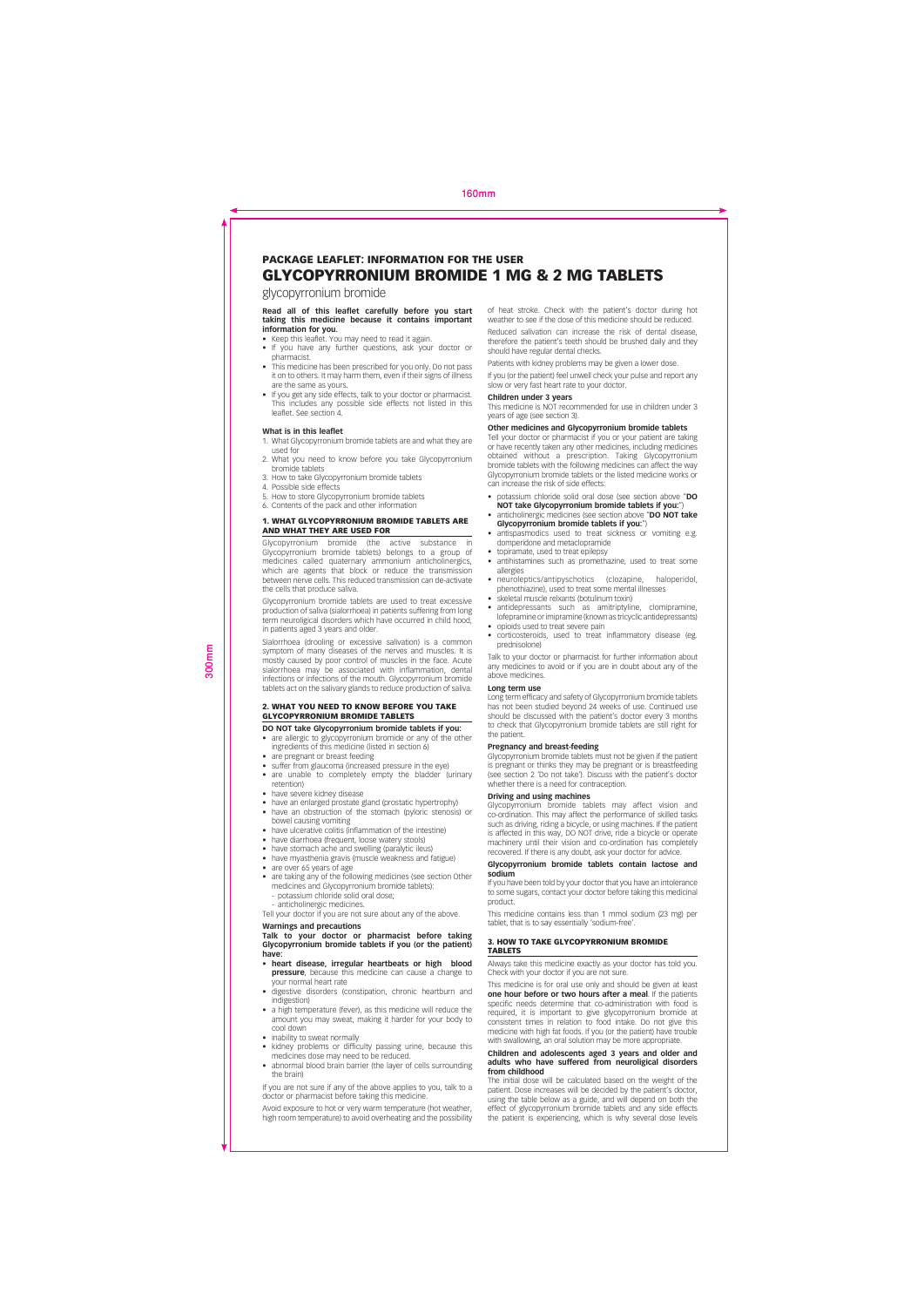### **PACKAGE LEAFLET: INFORMATION FOR THE USER GLYCOPYRRONIUM BROMIDE 1 MG & 2 MG TABLETS**

glycopyrronium bromide

# **Read all of this leaflet carefully before you start<br>taking this medicine because it contains important<br>information for you.<br>• Keep this leaflet. You may need to read it again.<br>• If you have any further questions, ask your**

- 
- pharmacist. • This medicine has been prescribed for you only. Do not pass
- it on to others. It may harm them, even if their signs of illness are the same as yours. • If you get any side effects, talk to your doctor or pharmacist.
- This includes any possible side effects not listed in this leaflet. See section 4.

### **What is in this leaflet**

- 1. What Glycopyrronium bromide tablets are and what they are used for 2. What you need to know before you take Glycopyrronium
- bromide tablets
- 3. How to take Glycopyrronium bromide tablets 4. Possible side effects 5. How to store Glycopyrronium bromide tablets 6. Contents of the pack and other information
- 

### **1. WHAT GLYCOPYRRONIUM BROMIDE TABLETS ARE AND WHAT THEY ARE USED FOR**

Glycopyrronium bromide (the active substance in<br>Glycopyrronium bromide tablets) belongs to a group of<br>medicines called quatermary ammonium anticholinergics,<br>which are agents that block or reduce the transmission<br>between ne the cells that produce saliva.

Glycopyrronium bromide tablets are used to treat excessive production of saliva (sialorrhoea) in patients suffering from long term neuroligical disorders which have occurred in child hood, in patients aged 3 years and older.

Sialorrhoea (drooling or excessive salivation) is a common symptom of many diseases of the nerves and muscles. It is<br>mostly caused by poor control of muscles in the face. Acute<br>sialorrhoea may be associated with inflammation, dental<br>infections or infections of the mouth. Glycopyrr

### **2. WHAT YOU NEED TO KNOW BEFORE YOU TAKE GLYCOPYRRONIUM BROMIDE TABLETS**

- **DO NOT take Glycopyrronium bromide tablets if you:**<br>• are allergic to glycopyrronium bromide or any of the other are allergic to glycopyrronium bromide or any of the
- ingredients of this medicine (listed in section 6) are pregnant or breast feeding
- suffer from glaucoma (increased pressure in the eye) are unable to completely empty the bladder (urinary retention) have severe kidney disease
- 

300mm

- have an enlarged prostate gland (prostatic hypertrophy) • have an obstruction of the stomach (pyloric stenosis) or
- bowel causing vomiting have ulcerative colitis (inflammation of the intestine)
- 
- 
- have diarrhoea (frequent, loose watery stools) have stomach ache and swelling (paralytic ileus) have myasthenia gravis (muscle weakness and fatigue)
- 
- are over 65 years of age are taking any of the following medicines (see section Other medicines and Glycopyrronium bromide tablets): - potassium chloride solid oral dose;
- 
- anticholinergic medicines. Tell your doctor if you are not sure about any of the above.

## **Warnings and precautions Talk to your doctor or pharmacist before taking Glycopyrronium bromide tablets if you (or the patient)**

### **have:** • **heart disease, irregular heartbeats or high blood pressure**, because this medicine can cause a change to

- your normal heart rate • digestive disorders (constipation, chronic heartburn and indigestion)
- a high temperature (fever), as this medicine will reduce the amount you may sweat, making it harder for your body to cool down
- inability to sweat normally
- hidding to swear hormally bassing urine, because this medicines dose may need to be reduced. • abnormal blood brain barrier (the layer of cells surrounding
- the brain)

If you are not sure if any of the above applies to you, talk to a doctor or pharmacist before taking this medicine.

Avoid exposure to hot or very warm temperature (hot weather, high room temperature) to avoid overheating and the possibility of heat stroke. Check with the patient's doctor during hot weather to see if the dose of this medicine should be reduced. Reduced salivation can increase the risk of dental disease, therefore the patient's teeth should be brushed daily and they should have regular dental checks.

Patients with kidney problems may be given a lower dose. If you (or the patient) feel unwell check your pulse and report any slow or very fast heart rate to your doctor.

### **Children under 3 years**

This medicine is NOT recommended for use in children under 3 years of age (see section 3).

**Other medicines and Glycopyrronium bromide tablets** Tell your doctor or pharmacist if you or your patient are taking or have recently taken any other medicines, including medicines obtained without a prescription. Taking Glycopyrronium bromide tablets with the following medicines can affect the way Glycopyrronium bromide tablets or the listed medicine works or commune capiers with the following in<br>Glycopyrronium bromide tablets or t<br>can increase the risk of side effects:

- 
- potassium chloride solid oral dose (see section above "DO<br>
NOT take Glycopyrronium bromide tablets if you:")<br>
 anticholinergic medicines (see section above "DO NOT take<br>
Glycopyrronium bromide tablets if you:")
- antispasmodics used to treat sickness or vomiting e.g. domperidone and metaclopramide
- topiramate, used to treat epilepsy antihistamines such as promethazine, used to treat some
- allergies
- neuroleptics/antipyschotics (clozapine, haloperidol, phenothiazine), used to treat some mental illnesses • skeletal muscle relxants (botulinum toxin)
- antidepressants such as amitriptyline, clomipramine
- lofepramine or imipramine (known as tricyclic antidepressants) opioids used to treat severe pain corticosteroids, used to treat inflammatory disease (eg.
- prednisolone)

Talk to your doctor or pharmacist for further information about any medicines to avoid or if you are in doubt about any of the above medicines.

### **Long term use**

Long term efficacy and safety of Glycopyrronium bromide tablets has not been studied beyond 24 weeks of use. Continued use should be discussed with the patient's doctor every 3 months to check that Glycopyrronium bromide tablets are still right for the patient.

### **Pregnancy and breast-feeding**

**Figurally and breast follows**<br>Giveopyrronium bromide tablets must not be given if the patient is pregnant or thinks they may be pregnant or is breastfeeding (see section 2 'Do not take'). Discuss with the patient's doctor whether there is a need for contraception.

**Driving and using machines** Glycopyrronium bromide tablets may affect vision and co-ordination. This may affect the performance of skilled tasks such as driving, riding a bicycle, or using machines. If the patient is affected in this way, DO NOT drive, ride a bicycle or operate machinery until their vision and co-ordination has completely recovered. If there is any doubt, ask your doctor for advice.

### **Glycopyrronium bromide tablets contain lactose and sodium**

If you have been told by your doctor that you have an intolerance to some sugars, contact your doctor before taking this medicinal product.

This medicine contains less than 1 mmol sodium (23 mg) per tablet, that is to say essentially 'sodium-free'.

### **3. HOW TO TAKE GLYCOPYRRONIUM BROMIDE TABLETS**

Always take this medicine exactly as your doctor has told you. Check with your doctor if you are not sure.

is medicine is for oral use only and should be given at least **one hour before or two hours after a meal**. If the patients specific needs determine that co-administration with food is<br>required, it is important to give glycopyrronium bromide at<br>consistent times in relation to food intake. Do not give this<br>medicine with high fat foods. If you (o

**Children and adolescents aged 3 years and older and adults who have suffered from neuroligical disorders from childhood** The initial dose will be calculated based on the weight of the

patient. Dose increases will be decided by the patient's doctor,<br>using the table below as a guide, and will depend on both the<br>effect of glycopyrronium bromide tablets and any side effects<br>the patient is experiencing, whic